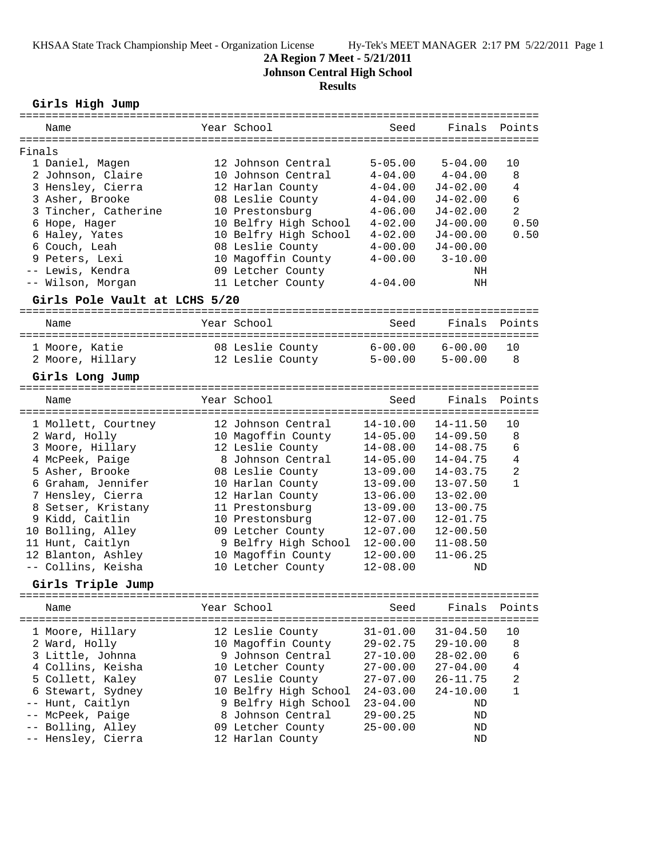#### **2A Region 7 Meet - 5/21/2011**

**Johnson Central High School**

### **Results**

**Girls High Jump**

|        | Name                          | Year School                      | Seed         | Finals              | Points         |
|--------|-------------------------------|----------------------------------|--------------|---------------------|----------------|
| Finals |                               |                                  |              |                     |                |
|        | 1 Daniel, Magen               | 12 Johnson Central               | $5 - 05.00$  | $5 - 04.00$         | 10             |
|        | 2 Johnson, Claire             | 10 Johnson Central               | $4 - 04.00$  | $4 - 04.00$         | 8              |
|        | 3 Hensley, Cierra             | 12 Harlan County                 | $4 - 04.00$  | $J4 - 02.00$        | 4              |
|        | 3 Asher, Brooke               | 08 Leslie County                 | $4 - 04.00$  | $J4 - 02.00$        | 6              |
|        | 3 Tincher, Catherine          | 10 Prestonsburg                  | $4 - 06.00$  | $J4 - 02.00$        | $\overline{2}$ |
|        | 6 Hope, Hager                 | 10 Belfry High School            | $4 - 02.00$  | $J4 - 00.00$        | 0.50           |
|        | 6 Haley, Yates                | 10 Belfry High School            | $4 - 02.00$  | $J4 - 00.00$        | 0.50           |
|        | 6 Couch, Leah                 | 08 Leslie County                 | $4 - 00.00$  | $J4 - 00.00$        |                |
|        | 9 Peters, Lexi                | 10 Magoffin County               | $4 - 00.00$  | $3 - 10.00$         |                |
|        | -- Lewis, Kendra              | 09 Letcher County                |              | NH                  |                |
|        | -- Wilson, Morgan             | 11 Letcher County                | $4 - 04.00$  | ΝH                  |                |
|        | Girls Pole Vault at LCHS 5/20 |                                  |              |                     |                |
|        | Name                          | Year School                      | Seed         | Finals              | Points         |
|        | 1 Moore, Katie                | 08 Leslie County 6-00.00 6-00.00 |              |                     | 10             |
|        | 2 Moore, Hillary              | 12 Leslie County                 |              | $5-00.00$ $5-00.00$ | 8              |
|        |                               |                                  |              |                     |                |
|        | Girls Long Jump               |                                  |              |                     |                |
|        | Name                          | Year School                      | Seed         | Finals              | Points         |
|        | 1 Mollett, Courtney           | 12 Johnson Central               | 14-10.00     | $14 - 11.50$        | 10             |
|        | 2 Ward, Holly                 | 10 Magoffin County               | $14 - 05.00$ | $14 - 09.50$        | 8              |
|        | 3 Moore, Hillary              | 12 Leslie County                 | $14 - 08.00$ | $14 - 08.75$        | 6              |
|        |                               |                                  |              |                     |                |

| 3 MOOre, Hillary   | IS PERTIE COUNTA     | $14 - 08.00$ | 14-08.75     | <b>b</b> |
|--------------------|----------------------|--------------|--------------|----------|
| 4 McPeek, Paige    | 8 Johnson Central    | $14 - 05.00$ | $14 - 04.75$ | 4        |
| 5 Asher, Brooke    | 08 Leslie County     | $13 - 09.00$ | $14 - 03.75$ | 2        |
| 6 Graham, Jennifer | 10 Harlan County     | $13 - 09.00$ | $13 - 07.50$ | 1        |
| 7 Hensley, Cierra  | 12 Harlan County     | $13 - 06.00$ | $13 - 02.00$ |          |
| 8 Setser, Kristany | 11 Prestonsburg      | $13 - 09.00$ | $13 - 00.75$ |          |
| 9 Kidd, Caitlin    | 10 Prestonsburg      | $12 - 07.00$ | $12 - 01.75$ |          |
| 10 Bolling, Alley  | 09 Letcher County    | $12 - 07.00$ | $12 - 00.50$ |          |
| 11 Hunt, Caitlyn   | 9 Belfry High School | $12 - 00.00$ | $11 - 08.50$ |          |
| 12 Blanton, Ashley | 10 Magoffin County   | $12 - 00.00$ | $11 - 06.25$ |          |
| -- Collins, Keisha | 10 Letcher County    | $12 - 08.00$ | ND           |          |

**Girls Triple Jump**

| Name |                                                                                                                                                                                                        | Year School                                                                                                                                                                                                         | Seed                                                                                                                                         | Finals Points                                                                                                        |                                     |
|------|--------------------------------------------------------------------------------------------------------------------------------------------------------------------------------------------------------|---------------------------------------------------------------------------------------------------------------------------------------------------------------------------------------------------------------------|----------------------------------------------------------------------------------------------------------------------------------------------|----------------------------------------------------------------------------------------------------------------------|-------------------------------------|
|      | 1 Moore, Hillary<br>2 Ward, Holly<br>3 Little, Johnna<br>4 Collins, Keisha<br>5 Collett, Kaley<br>6 Stewart, Sydney<br>-- Hunt, Caitlyn<br>-- McPeek, Paige<br>-- Bolling, Alley<br>-- Hensley, Cierra | 12 Leslie County<br>10 Magoffin County<br>9 Johnson Central<br>10 Letcher County<br>07 Leslie County<br>10 Belfry High School<br>9 Belfry High School<br>8 Johnson Central<br>09 Letcher County<br>12 Harlan County | $31 - 01.00$<br>$29 - 02.75$<br>$27 - 10.00$<br>$27 - 00.00$<br>$27 - 07.00$<br>$24 - 03.00$<br>$23 - 04.00$<br>$29 - 00.25$<br>$25 - 00.00$ | $31 - 04.50$<br>$29 - 10.00$<br>$28 - 02.00$<br>$27 - 04.00$<br>$26 - 11.75$<br>$24 - 10.00$<br>ND<br>ND<br>ND<br>ND | 10<br>8<br>6<br>4<br>$\mathfrak{D}$ |
|      |                                                                                                                                                                                                        |                                                                                                                                                                                                                     |                                                                                                                                              |                                                                                                                      |                                     |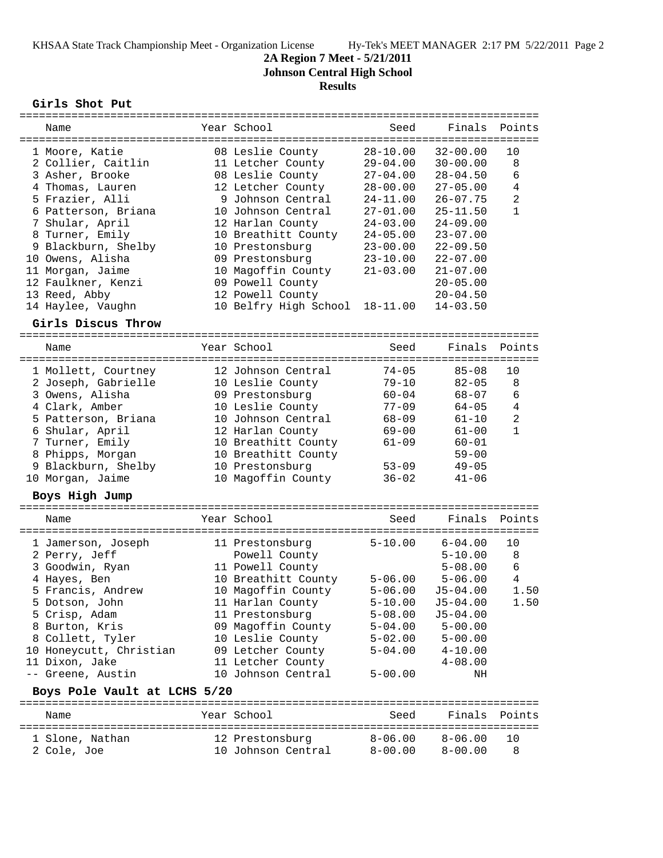# **2A Region 7 Meet - 5/21/2011**

**Johnson Central High School**

## **Results**

**Girls Shot Put**

| Name                         |           | Year School                   | Seed                      | Finals          | Points         |
|------------------------------|-----------|-------------------------------|---------------------------|-----------------|----------------|
|                              |           |                               |                           |                 |                |
| 1 Moore, Katie               |           | 08 Leslie County              | $28 - 10.00$              | $32 - 00.00$    | 10             |
| 2 Collier, Caitlin           |           | 11 Letcher County             | $29 - 04.00$              | $30 - 00.00$    | 8              |
| 3 Asher, Brooke              |           | 08 Leslie County              | $27 - 04.00$              | $28 - 04.50$    | 6              |
| 4 Thomas, Lauren             |           | 12 Letcher County             | $28 - 00.00$              | $27 - 05.00$    | 4              |
| 5 Frazier, Alli              |           | 9 Johnson Central             | $24 - 11.00$              | $26 - 07.75$    | $\overline{2}$ |
| 6 Patterson, Briana          |           | 10 Johnson Central            | $27 - 01.00$              | 25-11.50        | $\mathbf{1}$   |
| 7 Shular, April              |           | 12 Harlan County              | $24 - 03.00$              | $24 - 09.00$    |                |
| 8 Turner, Emily              |           | 10 Breathitt County           | $24 - 05.00$              | $23 - 07.00$    |                |
| 9 Blackburn, Shelby          |           | 10 Prestonsburg               | $23 - 00.00$              | $22 - 09.50$    |                |
| 10 Owens, Alisha             |           | 09 Prestonsburg               | $23 - 10.00$              | $22 - 07.00$    |                |
| 11 Morgan, Jaime             |           | 10 Magoffin County            | $21 - 03.00$              | $21 - 07.00$    |                |
| 12 Faulkner, Kenzi           |           | 09 Powell County              |                           | $20 - 05.00$    |                |
| 13 Reed, Abby                |           | 12 Powell County              |                           | $20 - 04.50$    |                |
| 14 Haylee, Vaughn            |           | 10 Belfry High School         | 18-11.00                  | $14 - 03.50$    |                |
| Girls Discus Throw           |           |                               |                           |                 |                |
| =====================        |           |                               |                           |                 |                |
| Name                         |           | Year School                   | Seed                      | Finals          | Points         |
|                              | --------- |                               |                           |                 |                |
| 1 Mollett, Courtney          |           | 12 Johnson Central            | $74 - 05$                 | $85 - 08$       | 10             |
| 2 Joseph, Gabrielle          |           | 10 Leslie County              | $79 - 10$                 | $82 - 05$       | 8              |
| 3 Owens, Alisha              |           | 09 Prestonsburg               | $60 - 04$                 | $68 - 07$       | 6              |
| 4 Clark, Amber               |           | 10 Leslie County              | $77 - 09$                 | $64 - 05$       | 4              |
| 5 Patterson, Briana          |           | 10 Johnson Central            | $68 - 09$                 | $61 - 10$       | 2              |
| 6 Shular, April              |           | 12 Harlan County              | $69 - 00$                 | $61 - 00$       | $\mathbf{1}$   |
| 7 Turner, Emily              |           | 10 Breathitt County           | $61 - 09$                 | $60 - 01$       |                |
| 8 Phipps, Morgan             |           | 10 Breathitt County           |                           | $59 - 00$       |                |
| 9 Blackburn, Shelby          |           | 10 Prestonsburg               | $53 - 09$                 | $49 - 05$       |                |
| 10 Morgan, Jaime             |           | 10 Magoffin County            | $36 - 02$                 | $41 - 06$       |                |
| Boys High Jump               |           |                               |                           |                 |                |
|                              |           |                               |                           |                 |                |
| Name                         |           | Year School<br>-------------- | Seed<br>================= | Finals<br>===== | Points         |
| 1 Jamerson, Joseph           |           | 11 Prestonsburg               | $5 - 10.00$               | $6 - 04.00$     | 10             |
| 2 Perry, Jeff                |           | Powell County                 |                           | $5 - 10.00$     | 8              |
| 3 Goodwin, Ryan              |           | 11 Powell County              |                           | $5 - 08.00$     | 6              |
| 4 Hayes, Ben                 |           | 10 Breathitt County           | $5 - 06.00$               | $5 - 06.00$     | $\overline{4}$ |
| 5 Francis, Andrew            |           | 10 Magoffin County            | $5 - 06.00$               | $J5 - 04.00$    | 1.50           |
| 5 Dotson, John               |           | 11 Harlan County              | $5 - 10.00$               | $J5 - 04.00$    | 1.50           |
| 5 Crisp, Adam                |           | 11 Prestonsburg               | $5 - 08.00$               | $J5 - 04.00$    |                |
| 8 Burton, Kris               |           | 09 Magoffin County            | $5 - 04.00$               | $5 - 00.00$     |                |
| 8 Collett, Tyler             |           | 10 Leslie County              | $5 - 02.00$               | $5 - 00.00$     |                |
| 10 Honeycutt, Christian      |           | 09 Letcher County             | $5 - 04.00$               | $4 - 10.00$     |                |
| 11 Dixon, Jake               |           | 11 Letcher County             |                           | $4 - 08.00$     |                |
| -- Greene, Austin            |           | 10 Johnson Central            | $5 - 00.00$               | ΝH              |                |
|                              |           |                               |                           |                 |                |
| Boys Pole Vault at LCHS 5/20 |           |                               |                           |                 |                |
| Name                         |           | Year School                   | Seed                      | Finals          | Points         |
| 1 Slone, Nathan              |           | 12 Prestonsburg               | $8 - 06.00$               | $8 - 06.00$     | 10             |
| 2 Cole, Joe                  |           | 10 Johnson Central            | $8 - 00.00$               | $8 - 00.00$     | 8              |
|                              |           |                               |                           |                 |                |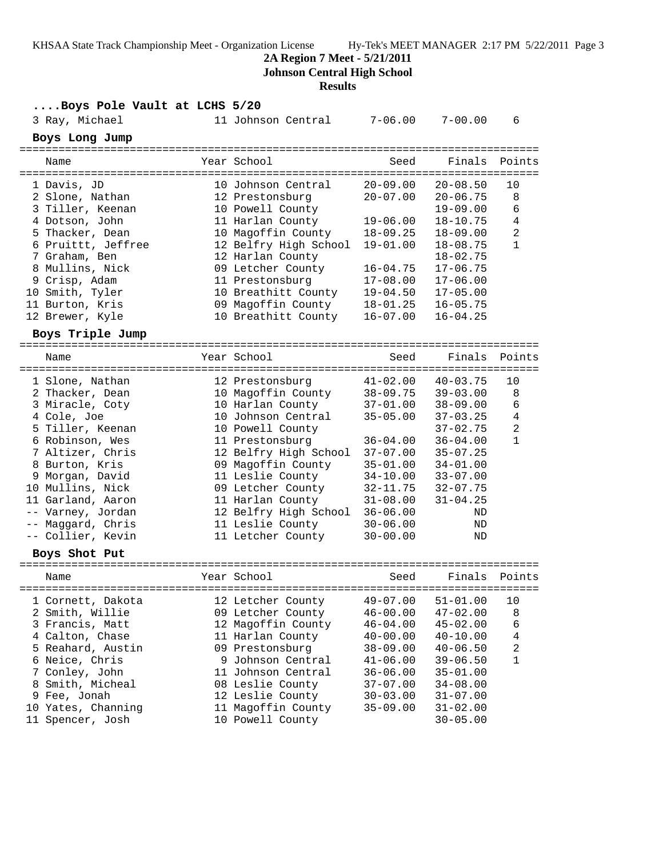**2A Region 7 Meet - 5/21/2011**

**Johnson Central High School**

#### **Results**

|                              | Results               |              |              |                |
|------------------------------|-----------------------|--------------|--------------|----------------|
| Boys Pole Vault at LCHS 5/20 |                       |              |              |                |
| 3 Ray, Michael               | 11 Johnson Central    | $7 - 06.00$  | $7 - 00.00$  | 6              |
| Boys Long Jump               |                       |              |              |                |
| Name                         | Year School           | Seed         | Finals       | Points         |
| 1 Davis, JD                  | 10 Johnson Central    | $20 - 09.00$ | $20 - 08.50$ | 10             |
| 2 Slone, Nathan              | 12 Prestonsburg       | $20 - 07.00$ | $20 - 06.75$ | 8              |
| 3 Tiller, Keenan             | 10 Powell County      |              | $19 - 09.00$ | 6              |
| 4 Dotson, John               | 11 Harlan County      | $19 - 06.00$ | $18 - 10.75$ | $\overline{4}$ |
| 5 Thacker, Dean              | 10 Magoffin County    | $18 - 09.25$ | $18 - 09.00$ | $\overline{a}$ |
| 6 Pruittt, Jeffree           | 12 Belfry High School | $19 - 01.00$ | $18 - 08.75$ | $\mathbf{1}$   |
| 7 Graham, Ben                | 12 Harlan County      |              | $18 - 02.75$ |                |
| 8 Mullins, Nick              | 09 Letcher County     | 16-04.75     | $17 - 06.75$ |                |
| 9 Crisp, Adam                | 11 Prestonsburg       | $17 - 08.00$ | $17 - 06.00$ |                |
| 10 Smith, Tyler              | 10 Breathitt County   | $19 - 04.50$ | $17 - 05.00$ |                |
| 11 Burton, Kris              | 09 Magoffin County    | $18 - 01.25$ | $16 - 05.75$ |                |
| 12 Brewer, Kyle              | 10 Breathitt County   | $16 - 07.00$ | $16 - 04.25$ |                |
| Boys Triple Jump             |                       |              |              |                |
|                              |                       |              |              |                |
| Name                         | Year School           | Seed         | Finals       | Points         |
| 1 Slone, Nathan              | 12 Prestonsburg       | $41 - 02.00$ | $40 - 03.75$ | 10             |
| 2 Thacker, Dean              | 10 Magoffin County    | $38 - 09.75$ | $39 - 03.00$ | 8              |
| 3 Miracle, Coty              | 10 Harlan County      | $37 - 01.00$ | $38 - 09.00$ | 6              |
| 4 Cole, Joe                  | 10 Johnson Central    | $35 - 05.00$ | $37 - 03.25$ | 4              |
| 5 Tiller, Keenan             | 10 Powell County      |              | $37 - 02.75$ | 2              |
| 6 Robinson, Wes              | 11 Prestonsburg       | $36 - 04.00$ | $36 - 04.00$ | $\mathbf{1}$   |
| 7 Altizer, Chris             | 12 Belfry High School | $37 - 07.00$ | $35 - 07.25$ |                |
| 8 Burton, Kris               | 09 Magoffin County    | $35 - 01.00$ | $34 - 01.00$ |                |
| 9 Morgan, David              | 11 Leslie County      | $34 - 10.00$ | $33 - 07.00$ |                |
| 10 Mullins, Nick             | 09 Letcher County     | 32-11.75     | $32 - 07.75$ |                |
| 11 Garland, Aaron            | 11 Harlan County      | $31 - 08.00$ | $31 - 04.25$ |                |
| -- Varney, Jordan            | 12 Belfry High School | $36 - 06.00$ | ND           |                |
| -- Maggard, Chris            | 11 Leslie County      | $30 - 06.00$ | ND           |                |
| -- Collier, Kevin            | 11 Letcher County     | $30 - 00.00$ | ND           |                |
| Boys Shot Put                |                       |              |              |                |
| Name                         | Year School           | Seed         | Finals       | Points         |
|                              |                       |              |              |                |
| 1 Cornett, Dakota            | 12 Letcher County     | $49 - 07.00$ | $51 - 01.00$ | 10             |
| 2 Smith, Willie              | 09 Letcher County     | $46 - 00.00$ | $47 - 02.00$ | 8              |
| 3 Francis, Matt              | 12 Magoffin County    | $46 - 04.00$ | $45 - 02.00$ | 6              |
| 4 Calton, Chase              | 11 Harlan County      | $40 - 00.00$ | $40 - 10.00$ | 4              |
| 5 Reahard, Austin            | 09 Prestonsburg       | $38 - 09.00$ | $40 - 06.50$ | 2              |
| 6 Neice, Chris               | 9 Johnson Central     | $41 - 06.00$ | $39 - 06.50$ | $\mathbf{1}$   |
| 7 Conley, John               | 11 Johnson Central    | $36 - 06.00$ | $35 - 01.00$ |                |
| 8 Smith, Micheal             | 08 Leslie County      | $37 - 07.00$ | $34 - 08.00$ |                |
| 9 Fee, Jonah                 | 12 Leslie County      | $30 - 03.00$ | $31 - 07.00$ |                |

 10 Yates, Channing 11 Magoffin County 35-09.00 31-02.00 11 Spencer, Josh 10 Powell County 30-05.00